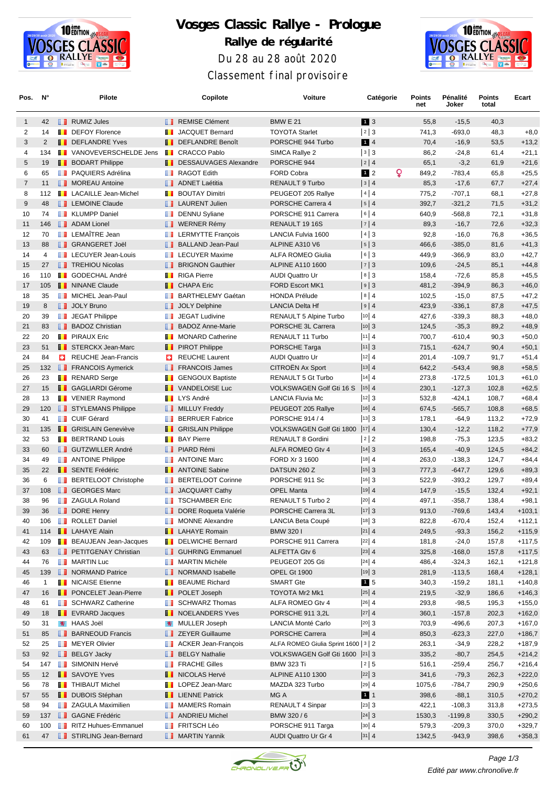

## **Vosges Classic Rallye - Prologue Rallye de régularité** Du 28 au 28 août 2020 Classement final provisoire



| Pos.           | N°             |    | Pilote                         |                 | Copilote                          | Voiture                               | Catégorie                               | Points<br>net | Pénalité<br>Joker | <b>Points</b><br>total | Ecart    |
|----------------|----------------|----|--------------------------------|-----------------|-----------------------------------|---------------------------------------|-----------------------------------------|---------------|-------------------|------------------------|----------|
| $\mathbf{1}$   | 42             |    | <b>RUMIZ Jules</b>             |                 | <b>REMISE Clément</b>             | <b>BMW E 21</b>                       | 1 3                                     | 55,8          | $-15,5$           | 40,3                   |          |
| $\overline{c}$ | 14             |    | <b>DEFOY Florence</b>          | ш               | JACQUET Bernard                   | <b>TOYOTA Starlet</b>                 | 2 3                                     | 741,3         | $-693,0$          | 48,3                   | $+8,0$   |
| 3              | $\overline{2}$ |    | <b>DEFLANDRE Yves</b>          |                 | <b>DEFLANDRE Benoît</b>           | PORSCHE 944 Turbo                     | 14                                      | 70,4          | $-16,9$           | 53,5                   | $+13,2$  |
| 4              | 134            |    | <b>I</b> VANOVEVERSCHELDE Jens | <b>THE REAL</b> | <b>CRACCO Pablo</b>               | SIMCA Rallye 2                        | 3 3                                     | 86,2          | $-24,8$           | 61,4                   | $+21,1$  |
| 5              | 19             |    | <b>BODART Philippe</b>         |                 | <b>THE DESSAUVAGES Alexandre</b>  | PORSCHE 944                           | 2 4                                     | 65,1          | $-3,2$            | 61,9                   | $+21,6$  |
| 6              | 65             |    | <b>PAQUIERS Adrélina</b>       | ш               | <b>RAGOT Edith</b>                | <b>FORD Cobra</b>                     | Q<br>$1\overline{2}$                    | 849,2         | $-783,4$          | 65,8                   | $+25,5$  |
| $\overline{7}$ | 11             |    | MOREAU Antoine                 |                 | <b>ADNET Laétitia</b>             | <b>RENAULT 9 Turbo</b>                | 3 4                                     | 85,3          | $-17,6$           | 67,7                   | $+27,4$  |
| 8              | 112            |    | <b>T</b> LACAILLE Jean-Michel  | ш               | <b>BOUTAY Dimitri</b>             | PEUGEOT 205 Rallye                    | 4 4                                     | 775,2         | $-707,1$          | 68,1                   | $+27,8$  |
| 9              | 48             |    | <b>EXECUTE Claude</b>          |                 | <b>I</b> LAURENT Julien           | PORSCHE Carrera 4                     | 5 4                                     | 392,7         | $-321,2$          | 71,5                   | $+31,2$  |
| 10             | 74             |    | <b>KLUMPP Daniel</b>           |                 | DENNU Syliane                     | PORSCHE 911 Carrera                   | 6 4                                     | 640,9         | $-568,8$          | 72,1                   | $+31,8$  |
| 11             | 146            |    | <b>ADAM Lionel</b>             |                 | <b>D</b> WERNER Rémy              | RENAULT 19 16S                        | 7 4                                     | 89,3          | $-16,7$           | 72,6                   | $+32,3$  |
| 12             | 70             |    | <b>LEMAÎTRE Jean</b>           | u u             | <b>LERMYTTE François</b>          | LANCIA Fulvia 1600                    | 4 3                                     | 92,8          | $-16,0$           | 76,8                   | $+36,5$  |
| 13             | 88             |    | <b>B</b> GRANGERET Joël        | <b>IL 1999</b>  | <b>BALLAND Jean-Paul</b>          | ALPINE A310 V6                        | $5 \mid 3$                              | 466,6         | $-385,0$          | 81,6                   | $+41,3$  |
| 14             | 4              |    | <b>LECUYER Jean-Louis</b>      | ш               | <b>LECUYER Maxime</b>             | <b>ALFA ROMEO Giulia</b>              | 6 3                                     | 449,9         | $-366,9$          | 83,0                   | $+42,7$  |
| 15             | 27             |    | <b>TREHIOU Nicolas</b>         |                 | <b>BRIGNON Gauthier</b>           | <b>ALPINE A110 1600</b>               | 7 3                                     | 109,6         | $-24,5$           | 85,1                   | $+44,8$  |
| 16             | 110            |    | <b>B</b> GODECHAL André        |                 | <b>T</b> RIGA Pierre              | <b>AUDI Quattro Ur</b>                | 8 3                                     | 158,4         | $-72,6$           | 85,8                   | $+45,5$  |
| 17             | 105            |    | <b>NINANE Claude</b>           |                 | <b>T</b> CHAPA Eric               | <b>FORD Escort MK1</b>                | 9 3                                     | 481,2         | $-394,9$          | 86,3                   | $+46,0$  |
| 18             | 35             |    | MICHEL Jean-Paul               | ш               | <b>BARTHELEMY Gaétan</b>          | <b>HONDA Prélude</b>                  | 8 4                                     | 102,5         | $-15,0$           | 87,5                   | $+47,2$  |
| 19             | 8              |    | <b>JOLY Bruno</b>              |                 | <b>JOLY Delphine</b>              | <b>LANCIA Delta Hf</b>                | 9 4                                     | 423,9         | $-336,1$          | 87,8                   | $+47,5$  |
| 20             | 39             |    | <b>JEGAT Philippe</b>          | ш               | <b>JEGAT Ludivine</b>             | <b>RENAULT 5 Alpine Turbo</b>         | $ 10 $ 4                                | 427,6         | $-339,3$          | 88,3                   | $+48,0$  |
| 21             | 83             |    | <b>BADOZ Christian</b>         |                 | <b>BADOZ Anne-Marie</b>           | PORSCHE 3L Carrera                    | $ 10 $ 3                                | 124,5         | $-35,3$           | 89,2                   | $+48,9$  |
| 22             | 20             |    | <b>T</b> PIRAUX Eric           |                 | <b>MONARD Catherine</b>           | RENAULT 11 Turbo                      | $ 11 $ 4                                | 700,7         | $-610,4$          | 90,3                   | $+50,0$  |
| 23             | 51             |    | <b>STERCKX Jean-Marc</b>       |                 | <b>FI</b> PIROT Philippe          | PORSCHE Targa                         | 11 3                                    | 715,1         | $-624,7$          | 90,4                   | $+50,1$  |
| 24             | 84             | 32 | REUCHE Jean-Francis            | o               | <b>REUCHE Laurent</b>             | <b>AUDI Quattro Ur</b>                | $ 12 $ 4                                | 201,4         | $-109,7$          | 91,7                   | $+51,4$  |
| 25             | 132            |    | <b>FRANCOIS Aymerick</b>       | ш               | <b>FRANCOIS James</b>             | CITROËN Ax Sport                      | $ 13 $ 4                                | 642,2         | $-543,4$          | 98,8                   | $+58,5$  |
| 26             | 23             |    | <b>RENARD</b> Serge            | ш               | <b>GENGOUX Baptiste</b>           | RENAULT 5 Gt Turbo                    | $ 14 $ 4                                | 273,8         | $-172,5$          | 101,3                  | $+61,0$  |
| 27             | 15             |    | <b>B</b> GAGLIARDI Gérome      |                 | <b>T</b> VANDELOISE Luc           | VOLKSWAGEN Golf Gti 16 S              | $ 15 $ 4                                | 230,1         | $-127,3$          | 102,8                  | $+62,5$  |
| 28             | 13             |    | <b>T</b> VENIER Raymond        |                 | <b>T</b> LYS André                | <b>LANCIA Fluvia Mc</b>               | $ 12 $ 3                                | 532,8         | $-424,1$          | 108,7                  | $+68,4$  |
| 29             | 120            |    | STYLEMANS Philippe             |                 | <b>MILLUY Freddy</b>              | PEUGEOT 205 Rallye                    | $ 16 $ 4                                | 674,5         | $-565,7$          | 108,8                  | $+68,5$  |
| 30             | 41             |    | <b>D</b> CUIF Gérard           | ш               | <b>BERRUER Fabrice</b>            | <b>PORSCHE 914 / 4</b>                | 13 3                                    | 178,1         | $-64,9$           | 113,2                  | $+72,9$  |
| 31             | 135            |    | <b>B</b> GRISLAIN Geneviève    |                 | <b>B</b> GRISLAIN Philippe        | VOLKSWAGEN Golf Gti 1800              | 17 4                                    | 130,4         | $-12,2$           | 118,2                  | $+77,9$  |
| 32             | 53             |    | <b>BERTRAND Louis</b>          | ш               | <b>BAY Pierre</b>                 | RENAULT 8 Gordini                     | 2 2                                     | 198,8         | $-75,3$           | 123,5                  | $+83,2$  |
| 33             | 60             |    | <b>GUTZWILLER André</b>        |                 | <b>B</b> PIARD Rémi               | ALFA ROMEO Gtv 4                      | $ 14 $ 3                                | 165,4         | $-40,9$           | 124,5                  | $+84,2$  |
| 34             | 49             |    | <b>ANTOINE Philippe</b>        | ш               | <b>ANTOINE Marc</b>               | FORD Xr 3 1600                        | $ 18 $ 4                                | 263,0         | $-138,3$          | 124,7                  | $+84,4$  |
| 35             | 22             |    | <b>B</b> SENTE Frédéric        | ш               | <b>ANTOINE Sabine</b>             | DATSUN 260 Z                          | $ 15 $ 3                                | 777,3         | $-647,7$          | 129,6                  | $+89,3$  |
| 36             | 6              |    | <b>BERTELOOT Christophe</b>    | ш               | <b>BERTELOOT Corinne</b>          | PORSCHE 911 Sc                        | $ 16 $ 3                                | 522,9         | $-393,2$          | 129,7                  | $+89,4$  |
| 37             | 108            |    | <b>B</b> GEORGES Marc          |                 | <b>JACQUART Cathy</b>             | <b>OPEL Manta</b>                     | 19 4                                    | 147,9         | $-15,5$           | 132,4                  | $+92,1$  |
| 38             | 96             |    | <b>7</b> ZAGULA Roland         | ш               | <b>TSCHAMBER Eric</b>             | RENAULT 5 Turbo 2                     | $ 20 $ 4                                | 497,1         | $-358,7$          | 138,4                  | $+98,1$  |
| 39             | 36             | ш  | <b>DORE Henry</b>              | ш               | DORE Roqueta Valérie              | PORSCHE Carrera 3L                    | 17 3                                    | 913,0         | $-769,6$          | 143,4                  | $+103,1$ |
| 40             | 106            |    | <b>ROLLET Daniel</b>           |                 | <b>NONNE Alexandre</b>            | LANCIA Beta Coupé                     | $ 18 $ 3                                | 822,8         | $-670,4$          | 152,4                  | +112,1   |
| 41             | 114            |    | <b>LAHAYE Alain</b>            |                 | <b>EXECUTE:</b> LAHAYE Romain     | BMW 320 I                             | $ 21 $ 4                                | 249,5         | $-93,3$           | 156,2                  | $+115,9$ |
| 42             | 109            |    | <b>BEAUJEAN Jean-Jacques</b>   | ш               | <b>DELWICHE Bernard</b>           | PORSCHE 911 Carrera                   | $ 22 $ 4                                | 181,8         | $-24,0$           | 157,8                  | $+117,5$ |
| 43             | 63             |    | <b>PETITGENAY Christian</b>    |                 | <b>B</b> GUHRING Emmanuel         | ALFETTA Gtv 6                         | $ 23 $ 4                                | 325,8         | $-168,0$          | 157,8                  | $+117,5$ |
| 44             | 76             |    | <b>NARTIN Luc</b>              |                 | <b>NARTIN Michèle</b>             | PEUGEOT 205 Gti                       | $\begin{vmatrix} 24 & 4 \end{vmatrix}$  | 486,4         | $-324,3$          | 162,1                  | $+121,8$ |
| 45             | 139            |    | NORMAND Patrice                |                 | NORMAND Isabelle                  | OPEL Gt 1900                          | 19 3                                    | 281,9         | $-113,5$          | 168,4                  | $+128,1$ |
| 46             | 1              |    | <b>NICAISE</b> Etienne         | ш               | <b>BEAUME Richard</b>             | <b>SMART Gte</b>                      | $1\overline{5}$                         | 340,3         | $-159,2$          | 181,1                  | $+140,8$ |
| 47             | 16             |    | <b>F</b> PONCELET Jean-Pierre  |                 | <b>B</b> POLET Joseph             | TOYOTA Mr2 Mk1                        | $\left 25\right $ 4                     | 219,5         | $-32,9$           | 186,6                  | $+146,3$ |
| 48             | 61             |    | SCHWARZ Catherine              | ш               | <b>SCHWARZ Thomas</b>             | ALFA ROMEO Gtv 4                      | $\left 26\right $ 4                     | 293,8         | $-98,5$           | 195,3                  | $+155,0$ |
| 49             | 18             |    | <b>EVRARD Jacques</b>          |                 | <b>NOELANDERS Yves</b>            | PORSCHE 911 3,2L                      | 27 4                                    | 360,1         | $-157,8$          | 202,3                  | $+162,0$ |
| 50             | 31             |    | <b>HAAS Joël</b>               |                 | <b>Y</b> MULLER Joseph            | LANCIA Monté Carlo                    | $ 20 $ 3                                | 703,9         | $-496,6$          | 207,3                  | $+167,0$ |
| 51             | 85             |    | <b>BARNEOUD Francis</b>        |                 | <b>EXECUTE 25 ZEYER Guillaume</b> | PORSCHE Carrera                       | $\begin{vmatrix} 28 \\ 4 \end{vmatrix}$ | 850,3         | $-623,3$          | 227,0                  | $+186,7$ |
| 52             | 25             |    | <b>NEYER Olivier</b>           | ш               | <b>ACKER Jean-François</b>        | ALFA ROMEO Giulia Sprint 1600   3   2 |                                         | 263,1         | $-34,9$           | 228,2                  | $+187,9$ |
| 53             | 92             |    | <b>BELGY Jacky</b>             |                 | <b>BELGY Nathalie</b>             | VOLKSWAGEN Golf Gti 1600  21 3        |                                         | 335,2         | $-80,7$           | 254,5                  | $+214,2$ |
| 54             | 147            |    | <b>BU</b> SIMONIN Hervé        | ш               | <b>FRACHE Gilles</b>              | <b>BMW 323 Ti</b>                     | 2 5                                     | 516,1         | $-259,4$          | 256,7                  | $+216,4$ |
| 55             | 12             |    | <b>B</b> SAVOYE Yves           |                 | <b>NICOLAS Hervé</b>              | <b>ALPINE A110 1300</b>               | 22 3                                    | 341,6         | $-79,3$           | 262,3                  | $+222,0$ |
| 56             | 78             |    | <b>THIBAUT Michel</b>          |                 | <b>I</b> LOPEZ Jean-Marc          | MAZDA 323 Turbo                       | $\left  29 \right  4$                   | 1075,6        | -784,7            | 290,9                  | $+250,6$ |
| 57             | 55             |    | <b>DUBOIS Stéphan</b>          |                 | <b>LENNE Patrick</b>              | MG A                                  | 11                                      | 398,6         | $-88,1$           | 310,5                  | $+270,2$ |
| 58             | 94             |    | <b>ZAGULA Maximilien</b>       | L L             | <b>MAMERS Romain</b>              | <b>RENAULT 4 Sinpar</b>               | $ 23 $ 3                                | 422,1         | $-108,3$          | 313,8                  | $+273,5$ |
| 59             | 137            |    | <b>BE GAGNE Frédéric</b>       |                 | <b>ANDRIEU Michel</b>             | BMW 320 / 6                           | $ 24 $ 3                                | 1530,3        | $-1199,8$         | 330,5                  | $+290,2$ |
| 60             | 100            |    | RITZ Huhues-Emmanuel           |                 | <b>FRITSCH Léo</b>                | PORSCHE 911 Targa                     | $ 30 $ 4                                | 579,3         | $-209,3$          | 370,0                  | $+329,7$ |
| 61             | 47             |    | STIRLING Jean-Bernard          |                 | <b>NARTIN Yannik</b>              | AUDI Quattro Ur Gr 4                  | $ 31 $ 4                                | 1342,5        | $-943,9$          | 398,6                  | $+358,3$ |

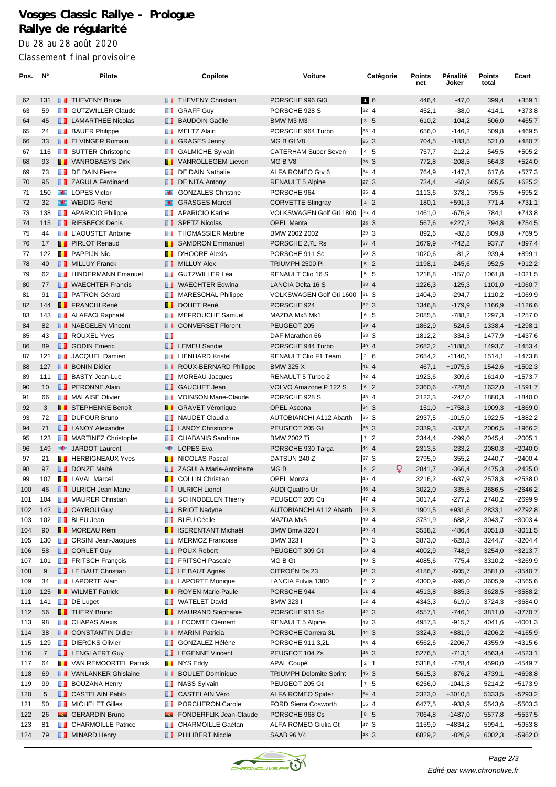## **Vosges Classic Rallye - Prologue Rallye de régularité** Du 28 au 28 août 2020 Classement final provisoire

| Pos.       | $N^{\circ}$ |    | Pilote                                       |        | Copilote                                     | Voiture                                | Catégorie            | Points<br>net    | Pénalité<br>Joker     | Points<br>total  | Ecart                  |
|------------|-------------|----|----------------------------------------------|--------|----------------------------------------------|----------------------------------------|----------------------|------------------|-----------------------|------------------|------------------------|
| 62         | 131         |    | <b>T</b> THEVENY Bruce                       |        | <b>THEVENY Christian</b>                     | PORSCHE 996 Gt3                        | 16                   | 446,4            | $-47,0$               | 399,4            | $+359,1$               |
| 63         | 59          |    | <b>GUTZWILLER Claude</b>                     | ш      | <b>GRAFF Guy</b>                             | PORSCHE 928 S                          | $ 32 $ 4             | 452,1            | $-38,0$               | 414,1            | $+373,8$               |
| 64         | 45          |    | <b>LAMARTHEE Nicolas</b>                     |        | <b>BAUDOIN Gaëlle</b>                        | BMW M3 M3                              | 3 5                  | 610,2            | $-104,2$              | 506,0            | $+465,7$               |
| 65         | 24          | ш  | <b>BAUER Philippe</b>                        | w      | <b>MELTZ Alain</b>                           | PORSCHE 964 Turbo                      | $ 33 $ 4             | 656,0            | $-146,2$              | 509,8            | $+469,5$               |
| 66         | 33          |    | <b>ELVINGER Romain</b>                       | ш      | <b>GRAGES Jenny</b>                          | MG B Gt V8                             | $ 25 $ 3             | 704,5            | $-183,5$              | 521,0            | $+480,7$               |
| 67         | 116         |    | SUTTER Christophe                            | w      | <b>GALMICHE Sylvain</b>                      | <b>CATERHAM Super Seven</b>            | 4 5                  | 757,7            | $-212,2$              | 545,5            | $+505,2$               |
| 68         | 93          |    | <b>T</b> VANROBAEYS Dirk                     | ш      | <b>VANROLLEGEM Lieven</b>                    | MG <sub>B</sub> V <sub>8</sub>         | $ 26 $ 3             | 772,8            | $-208,5$              | 564,3            | $+524,0$               |
| 69         | 73          |    | DE DAIN Pierre                               | w      | DE DAIN Nathalie                             | ALFA ROMEO Gtv 6                       | $ 34 $ 4             | 764,9            | $-147,3$              | 617,6            | $+577,3$               |
| 70         | 95          |    | <b>ZAGULA Ferdinand</b>                      |        | <b>DE NITA Antony</b>                        | <b>RENAULT 5 Alpine</b>                | 27 3                 | 734,4            | $-68,9$               | 665,5            | $+625,2$               |
| 71         | 150         | 鸞  | <b>LOPES Victor</b>                          |        | <b>GONZALES Christine</b>                    | PORSCHE 964                            | $ 35 $ 4             | 1113,6           | $-378,1$              | 735,5            | $+695,2$               |
| 72         | 32          |    | WEIDIG René                                  | W.     | <b>GRASGES Marcel</b>                        | <b>CORVETTE Stingray</b>               | 4 2                  | 180,1            | $+591,3$              | 771,4            | $+731,1$               |
| 73         | 138         | m  | <b>APARICIO Philippe</b>                     | m      | <b>APARICIO Karine</b>                       | VOLKSWAGEN Golf Gti 1800               | $ 36 $ 4             | 1461,0           | $-676.9$              | 784,1            | $+743,8$               |
| 74<br>75   | 115<br>44   |    | RIESBECK Denis<br>L'AOUSTET Antoine          | w      | SPETZ Nicolas<br><b>THOMASSIER Martine</b>   | <b>OPEL Manta</b><br>BMW 2002 2002     | $ 28 $ 3<br> 29 3    | 567,6<br>892,6   | $+227,2$<br>$-82,8$   | 794,8<br>809,8   | $+754,5$<br>$+769,5$   |
| 76         | 17          |    | <b>F</b> PIRLOT Renaud                       |        | <b>B</b> SAMDRON Emmanuel                    | PORSCHE 2.7L Rs                        | $ 37 $ 4             | 1679,9           | $-742,2$              | 937,7            | $+897,4$               |
| 77         | 122         |    | <b>T</b> PAPPIJN Nic                         |        | <b>D'HOORE Alexis</b>                        | PORSCHE 911 Sc                         | $ 30 $ 3             | 1020,6           | $-81,2$               | 939,4            | $+899,1$               |
| 78         | 40          |    | MILLUY Franck                                |        | <b>NILLUY Alex</b>                           | TRIUMPH 2500 Pi                        | 5 2                  | 1198,1           | $-245,6$              | 952,5            | $+912,2$               |
| 79         | 62          | ш  | <b>HINDERMANN Emanuel</b>                    | m      | <b>GUTZWILLER Léa</b>                        | <b>RENAULT Clio 16 S</b>               | 5 5                  | 1218,8           | $-157,0$              | 1061,8           | $+1021,5$              |
| 80         | 77          |    | <b>NAECHTER Francis</b>                      |        | <b>NAECHTER Edwina</b>                       | LANCIA Delta 16 S                      | $ 38 $ 4             | 1226,3           | $-125,3$              | 1101,0           | $+1060,7$              |
| 81         | 91          |    | <b>PATRON Gérard</b>                         |        | <b>NARESCHAL Philippe</b>                    | VOLKSWAGEN Golf Gti 1600               | $ 31 $ 3             | 1404,9           | $-294,7$              | 1110,2           | $+1069,9$              |
| 82         | 144         |    | <b>FRANCHI René</b>                          |        | <b>DOHET René</b>                            | PORSCHE 924                            | $ 32 $ 3             | 1346,8           | $-179,9$              | 1166,9           | $+1126,6$              |
| 83         | 143         | ш  | ALAFACI Raphaël                              |        | <b>MEFROUCHE Samuel</b>                      | MAZDA Mx5 Mk1                          | 6 5                  | 2085,5           | $-788,2$              | 1297,3           | $+1257,0$              |
| 84         | 82          |    | NAEGELEN Vincent                             | ш      | <b>CONVERSET Florent</b>                     | PEUGEOT 205                            | $ 39 $ 4             | 1862,9           | $-524,5$              | 1338,4           | $+1298,1$              |
| 85         | 43          | ш  | <b>ROUXEL Yves</b>                           | w      |                                              | DAF Marathon 66                        | $ 33 $ 3             | 1812,2           | $-334,3$              | 1477,9           | $+1437,6$              |
| 86         | 89          |    | <b>B</b> GODIN Emeric                        |        | <b>EXECU</b> Sandie                          | PORSCHE 944 Turbo                      | $ 40 $ 4             | 2682,2           | $-1188,5$             | 1493,7           | $+1453,4$              |
| 87         | 121         | ш  | JACQUEL Damien                               | ш      | <b>LIENHARD Kristel</b>                      | RENAULT Clio F1 Team                   | 2 6                  | 2654,2           | $-1140,1$             | 1514,1           | $+1473,8$              |
| 88         | 127         | ш  | <b>BONIN Didier</b>                          | ш      | ROUX-BERNARD Philippe                        | <b>BMW 325 X</b>                       | $ 41 $ 4             | 467,1            | $+1075,5$             | 1542,6           | $+1502,3$              |
| 89         | 111         | ш  | <b>BASTY Jean-Luc</b>                        | w      | <b>MOREAU Jacques</b>                        | RENAULT 5 Turbo 2                      | $ 42 $ 4             | 1923,6           | $-309,6$              | 1614,0           | $+1573,7$              |
| 90         | 10          |    | <b>FRONNE Alain</b>                          | ш      | <b>GAUCHET Jean</b>                          | VOLVO Amazone P 122 S                  | 6 2                  | 2360,6           | $-728,6$              | 1632,0           | $+1591,7$              |
| 91         | 66          | ш  | <b>MALAISE Olivier</b>                       |        | <b>VOINSON Marie-Claude</b>                  | PORSCHE 928 S                          | $ 43 $ 4             | 2122,3           | $-242,0$              | 1880,3           | $+1840,0$              |
| 92         | 3           |    | <b>T</b> STEPHENNE Benoît                    |        | <b>B</b> GRAVET Véronique                    | <b>OPEL Ascona</b>                     | $ 34 $ 3             | 151,0            | $+1758.3$             | 1909,3           | $+1869,0$              |
| 93         | 72          | ш  | <b>DUFOUR Bruno</b>                          | w      | <b>NAUDET Claudia</b>                        | AUTOBIANCHI A112 Abarth                | $35 \mid 3$          | 2937,5           | $-1015,0$             | 1922,5           | $+1882,2$              |
| 94         | 71          |    | <b>LANOY Alexandre</b>                       |        | <b>LANOY Christophe</b>                      | PEUGEOT 205 Gti                        | $ 36 $ 3             | 2339,3           | $-332,8$              | 2006,5           | $+1966,2$              |
| 95<br>96   | 123<br>149  |    | <b>NARTINEZ Christophe</b><br>JARDOT Laurent | m<br>帯 | <b>CHABANIS Sandrine</b><br><b>LOPES Eva</b> | <b>BMW 2002 Ti</b>                     | 7 2<br>$ 44 $ 4      | 2344,4<br>2313,5 | $-299,0$<br>$-233,2$  | 2045,4<br>2080,3 | $+2005,1$<br>$+2040,0$ |
| 97         | 21          |    | <b>T</b> HERBIGNEAUX Yves                    | ш      | <b>NICOLAS Pascal</b>                        | PORSCHE 930 Targa<br>DATSUN 240 Z      | $ 37 $ 3             | 2795,9           | $-355,2$              | 2440,7           | $+2400,4$              |
| 98         | 97          |    | <b>DONZE Maïté</b>                           |        | <b>EXAGULA Marie-Antoinette</b>              | MG <sub>B</sub>                        | Q<br>8 2             | 2841,7           | $-366,4$              | 2475,3           | $+2435,0$              |
| 99         | 107         |    | <b>EXECUTE:</b> LAVAL Marcel                 |        | <b>T</b> COLLIN Christian                    | <b>OPEL Monza</b>                      | $ 45 $ 4             | 3216,2           | $-637.9$              | 2578,3           | $+2538,0$              |
| 100        | 46          |    | ULRICH Jean-Marie                            |        | ULRICH Lionel                                | <b>AUDI Quattro Ur</b>                 | $ 46 $ 4             | 3022,0           | $-335,5$              | 2686,5           | $+2646,2$              |
| 101        | 104         |    | MAURER Christian                             | ш      | <b>SCHNOBELEN Thierry</b>                    | PEUGEOT 205 Cti                        | 47 4                 | 3017,4           | $-277,2$              | 2740,2           | $+2699,9$              |
| 102        | 142         |    | <b>CAYROU Guy</b>                            |        | <b>BRIOT Nadyne</b>                          | AUTOBIANCHI A112 Abarth                | $ 38 $ 3             | 1901,5           | $+931,6$              | 2833,1           | $+2792,8$              |
| 103        | 102         |    | <b>BLEU Jean</b>                             | w      | <b>BLEU Cécile</b>                           | MAZDA Mx5                              | $ 48 $ 4             | 3731,9           | $-688,2$              | 3043,7           | $+3003,4$              |
| 104        | 90          |    | <b>II</b> MOREAU Rémi                        |        | <b>B</b> ISERENTANT Michaël                  | <b>BMW Bmw 3201</b>                    | 49 4                 | 3538,2           | $-486,4$              | 3051,8           | $+3011,5$              |
| 105        | 130         | ш  | ORSINI Jean-Jacques                          | w      | <b>MERMOZ Francoise</b>                      | BMW 3231                               | $ 39 $ 3             | 3873,0           | $-628,3$              | 3244,7           | $+3204,4$              |
| 106        | 58          |    | <b>CORLET Guy</b>                            | ш      | <b>POUX Robert</b>                           | PEUGEOT 309 Gti                        | $ 50 $ 4             | 4002,9           | $-748,9$              | 3254,0           | $+3213,7$              |
| 107        | 101         |    | <b>FRITSCH François</b>                      | w      | <b>FRITSCH Pascale</b>                       | MG B Gt                                | $ 40 $ 3             | 4085,6           | $-775,4$              | 3310,2           | $+3269,9$              |
| 108        | 9           |    | <b>LE BAUT Christian</b>                     |        | <b>LE BAUT Agnès</b>                         | CITROËN Ds 23                          | $ 41 $ 3             | 4186,7           | $-605,7$              | 3581,0           | $+3540,7$              |
| 109        | 34          |    | <b>LAPORTE Alain</b>                         | u u    | <b>LAPORTE Monique</b>                       | LANCIA Fulvia 1300                     | 9 2                  | 4300,9           | $-695,0$              | 3605,9           | $+3565,6$              |
| 110        | 125         |    | <b>NUMET</b> Patrick                         |        | ROYEN Marie-Paule                            | PORSCHE 944                            | $ 51 $ 4             | 4513,8           | $-885,3$              | 3628,5           | $+3588,2$              |
| 111        | 141         | H. | DE Luget                                     | w      | <b>WATELET David</b>                         | <b>BMW 3231</b>                        | $ 52 $ 4             | 4343,3           | $-619,0$              | 3724,3           | $+3684,0$              |
| 112        | 56          |    | <b>THERY Bruno</b>                           |        | <b>B</b> MAURAND Stéphanie                   | PORSCHE 911 Sc                         | $ 42 $ 3             | 4557,1           | $-746,1$              | 3811,0           | $+3770,7$              |
| 113        | 98          | m  | <b>CHAPAS Alexis</b>                         | m      | <b>LECOMTE Clément</b>                       | <b>RENAULT 5 Alpine</b>                | $ 43 $ 3             | 4957,3           | $-915,7$              | 4041,6           | $+4001,3$              |
| 114        | 38          | ш  | <b>CONSTANTIN Didier</b><br>DIERCKS Olivier  |        | <b>NARINI Patricia</b><br>GONZALEZ Hélène    | PORSCHE Carrera 3L<br>PORSCHE 911 3,2L | $ 44 $ 3             | 3324,3           | $+881,9$              | 4206,2<br>4355,9 | $+4165,9$              |
| 115        | 129         |    | <b>LENGLAERT Guy</b>                         | ш      | <b>LEGENNE Vincent</b>                       | PEUGEOT 104 Zs                         | $ 53 $ 4<br>$ 45 $ 3 | 6562,6<br>5276,5 | $-2206,7$<br>$-713,1$ | 4563,4           | +4315,6<br>$+4523,1$   |
| 116<br>117 | 7<br>64     |    | <b>T</b> VAN REMOORTEL Patrick               | ш      | NYS Eddy                                     | <b>APAL Coupé</b>                      | 2 1                  | 5318,4           | $-728,4$              | 4590,0           | $+4549,7$              |
| 118        | 69          |    | VANLANKER Ghislaine                          | ш      | <b>BOULET Dominique</b>                      | <b>TRIUMPH Dolomite Sprint</b>         | $ 46 $ 3             | 5615,3           | $-876,2$              | 4739,1           | $+4698,8$              |
| 119        | 99          | H. | <b>BOUZANA Henry</b>                         | ш      | <b>NASS Sylvain</b>                          | PEUGEOT 205 Gti                        | 7 5                  | 6256,0           | $-1041,8$             | 5214,2           | $+5173,9$              |
| 120        | 5           | ш  | <b>CASTELAIN Pablo</b>                       | ш      | <b>CASTELAIN Véro</b>                        | ALFA ROMEO Spider                      | 54 4                 | 2323,0           | $+3010,5$             | 5333,5           | $+5293,2$              |
| 121        | 50          |    | MICHELET Gilles                              | w      | PORCHERON Carole                             | <b>FORD Sierra Cosworth</b>            | $ 55 $ 4             | 6477,5           | $-933,9$              | 5543,6           | $+5503,3$              |
| 122        | 26          |    | <b>CH</b> GERARDIN Bruno                     |        | FONDERFLIK Jean-Claude                       | PORSCHE 968 Cs                         | 8 5                  | 7064,8           | $-1487,0$             | 5577,8           | $+5537,5$              |
| 123        | 81          | ш  | <b>CHARMOILLE Patrice</b>                    | u I    | CHARMOILLE Gaétan                            | ALFA ROMEO Giulia Gt                   | $ 47 $ 3             | 1159,9           | $+4834,2$             | 5994,1           | $+5953,8$              |
| 124        | 79          |    | <b>NINARD Henry</b>                          |        | <b>PHILIBERT Nicole</b>                      | <b>SAAB 96 V4</b>                      | $ 48 $ 3             | 6829,2           | $-826,9$              | 6002,3           | $+5962,0$              |